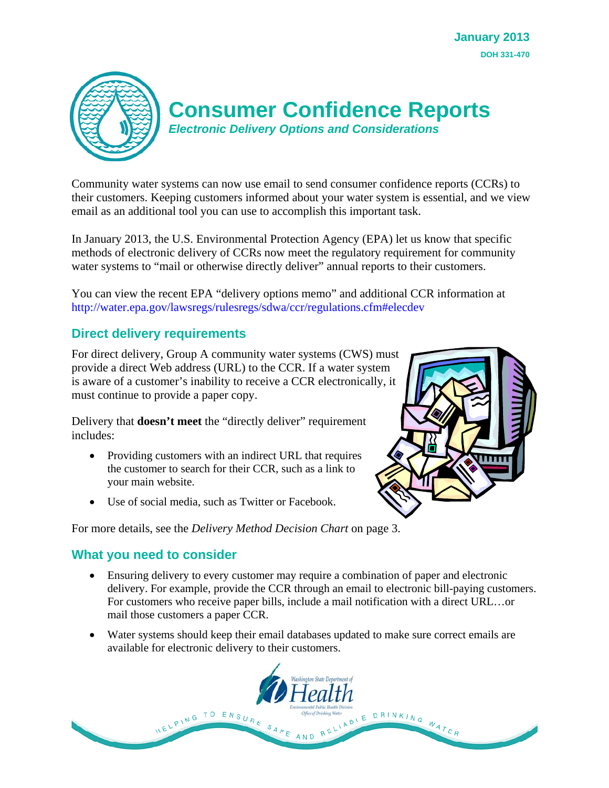

# **Consumer Confidence Reports**

*Electronic Delivery Options and Considerations* 

Community water systems can now use email to send consumer confidence reports (CCRs) to their customers. Keeping customers informed about your water system is essential, and we view email as an additional tool you can use to accomplish this important task.

In January 2013, the U.S. Environmental Protection Agency (EPA) let us know that specific methods of electronic delivery of CCRs now meet the regulatory requirement for community water systems to "mail or otherwise directly deliver" annual reports to their customers.

You can view the recent EPA "delivery options memo" and additional CCR information at http://water.epa.gov/lawsregs/rulesregs/sdwa/ccr/regulations.cfm#elecdev

# **Direct delivery requirements**

For direct delivery, Group A community water systems (CWS) must provide a direct Web address (URL) to the CCR. If a water system is aware of a customer's inability to receive a CCR electronically, it must continue to provide a paper copy.

Delivery that **doesn't meet** the "directly deliver" requirement includes:

- Providing customers with an indirect URL that requires the customer to search for their CCR, such as a link to your main website.
- Use of social media, such as Twitter or Facebook.

For more details, see the *Delivery Method Decision Chart* on page 3.

# **What you need to consider**

- Ensuring delivery to every customer may require a combination of paper and electronic delivery. For example, provide the CCR through an email to electronic bill-paying customers. For customers who receive paper bills, include a mail notification with a direct URL…or mail those customers a paper CCR.
- Water systems should keep their email databases updated to make sure correct emails are available for electronic delivery to their customers.



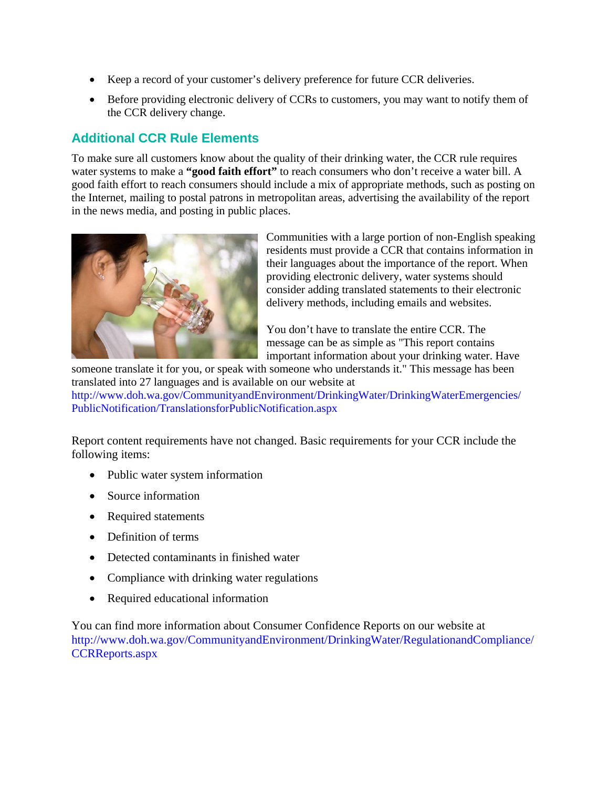- Keep a record of your customer's delivery preference for future CCR deliveries.
- Before providing electronic delivery of CCRs to customers, you may want to notify them of the CCR delivery change.

# **Additional CCR Rule Elements**

To make sure all customers know about the quality of their drinking water, the CCR rule requires water systems to make a **"good faith effort"** to reach consumers who don't receive a water bill. A good faith effort to reach consumers should include a mix of appropriate methods, such as posting on the Internet, mailing to postal patrons in metropolitan areas, advertising the availability of the report in the news media, and posting in public places.



Communities with a large portion of non-English speaking residents must provide a CCR that contains information in their languages about the importance of the report. When providing electronic delivery, water systems should consider adding translated statements to their electronic delivery methods, including emails and websites.

You don't have to translate the entire CCR. The message can be as simple as "This report contains important information about your drinking water. Have

someone translate it for you, or speak with someone who understands it." This message has been translated into 27 languages and is available on our website at [http://www.doh.wa.gov/CommunityandEnvironment/DrinkingWater/DrinkingWaterEmergencies/](http://www.doh.wa.gov/CommunityandEnvironment/DrinkingWater/DrinkingWaterEmergencies/PublicNotification/TranslationsforPublicNotification.aspx)

PublicNotification/TranslationsforPublicNotification.aspx

Report content requirements have not changed. Basic requirements for your CCR include the following items:

- Public water system information
- Source information
- Required statements
- Definition of terms
- Detected contaminants in finished water
- Compliance with drinking water regulations
- Required educational information

You can find more information about Consumer Confidence Reports on our website at [http://www.doh.wa.gov/CommunityandEnvironment/DrinkingWater/RegulationandCompliance/](http://www.doh.wa.gov/CommunityandEnvironment/DrinkingWater/RegulationandCompliance/CCRReports.aspx) CCRReports.aspx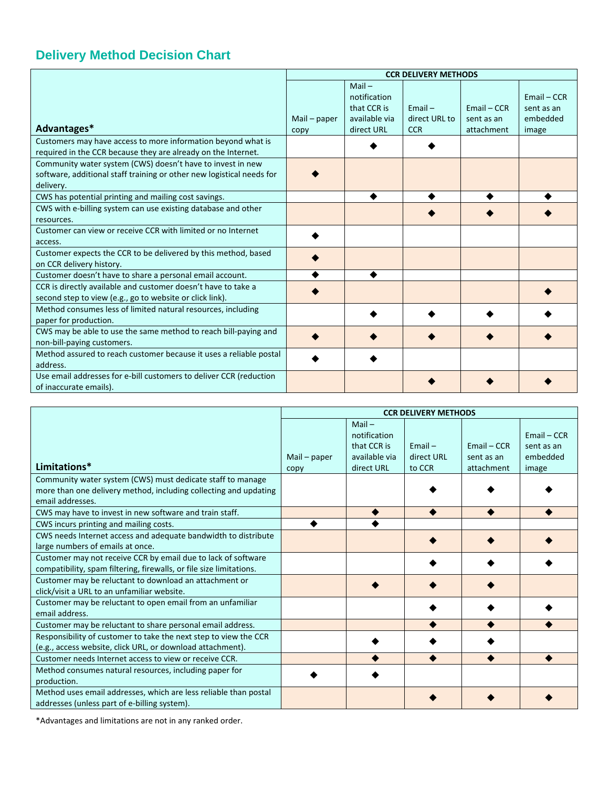# **Delivery Method Decision Chart**

|                                                                       | <b>CCR DELIVERY METHODS</b> |               |               |               |               |
|-----------------------------------------------------------------------|-----------------------------|---------------|---------------|---------------|---------------|
|                                                                       |                             | $Mail -$      |               |               |               |
|                                                                       |                             | notification  |               |               | $Email - CCR$ |
|                                                                       |                             | that CCR is   | $Email -$     | $Email - CCR$ | sent as an    |
|                                                                       | Mail $-$ paper              | available via | direct URL to | sent as an    | embedded      |
| Advantages*                                                           | copy                        | direct URL    | <b>CCR</b>    | attachment    | image         |
| Customers may have access to more information beyond what is          |                             |               |               |               |               |
| required in the CCR because they are already on the Internet.         |                             |               |               |               |               |
| Community water system (CWS) doesn't have to invest in new            |                             |               |               |               |               |
| software, additional staff training or other new logistical needs for |                             |               |               |               |               |
| delivery.                                                             |                             |               |               |               |               |
| CWS has potential printing and mailing cost savings.                  |                             |               |               |               |               |
| CWS with e-billing system can use existing database and other         |                             |               |               |               |               |
| resources.                                                            |                             |               |               |               |               |
| Customer can view or receive CCR with limited or no Internet          |                             |               |               |               |               |
| access.                                                               |                             |               |               |               |               |
| Customer expects the CCR to be delivered by this method, based        |                             |               |               |               |               |
| on CCR delivery history.                                              |                             |               |               |               |               |
| Customer doesn't have to share a personal email account.              |                             |               |               |               |               |
| CCR is directly available and customer doesn't have to take a         |                             |               |               |               |               |
| second step to view (e.g., go to website or click link).              |                             |               |               |               |               |
| Method consumes less of limited natural resources, including          |                             |               |               |               |               |
| paper for production.                                                 |                             |               |               |               |               |
| CWS may be able to use the same method to reach bill-paying and       |                             |               |               |               |               |
| non-bill-paying customers.                                            |                             |               |               |               |               |
| Method assured to reach customer because it uses a reliable postal    |                             |               |               |               |               |
| address.                                                              |                             |               |               |               |               |
| Use email addresses for e-bill customers to deliver CCR (reduction    |                             |               |               |               |               |
| of inaccurate emails).                                                |                             |               |               |               |               |

|                                                                                                                                      | <b>CCR DELIVERY METHODS</b> |                                                                        |                                   |                                           |                                                  |
|--------------------------------------------------------------------------------------------------------------------------------------|-----------------------------|------------------------------------------------------------------------|-----------------------------------|-------------------------------------------|--------------------------------------------------|
| Limitations*                                                                                                                         | $Mail - paper$<br>copy      | $Mail -$<br>notification<br>that CCR is<br>available via<br>direct URL | $Email -$<br>direct URL<br>to CCR | $Email - CCR$<br>sent as an<br>attachment | $Email - CCR$<br>sent as an<br>embedded<br>image |
| Community water system (CWS) must dedicate staff to manage                                                                           |                             |                                                                        |                                   |                                           |                                                  |
| more than one delivery method, including collecting and updating                                                                     |                             |                                                                        |                                   |                                           |                                                  |
| email addresses.                                                                                                                     |                             |                                                                        |                                   |                                           |                                                  |
| CWS may have to invest in new software and train staff.                                                                              |                             |                                                                        |                                   |                                           |                                                  |
| CWS incurs printing and mailing costs.                                                                                               |                             |                                                                        |                                   |                                           |                                                  |
| CWS needs Internet access and adequate bandwidth to distribute<br>large numbers of emails at once.                                   |                             |                                                                        |                                   |                                           |                                                  |
| Customer may not receive CCR by email due to lack of software<br>compatibility, spam filtering, firewalls, or file size limitations. |                             |                                                                        |                                   |                                           |                                                  |
| Customer may be reluctant to download an attachment or<br>click/visit a URL to an unfamiliar website.                                |                             |                                                                        |                                   |                                           |                                                  |
| Customer may be reluctant to open email from an unfamiliar<br>email address.                                                         |                             |                                                                        |                                   |                                           |                                                  |
| Customer may be reluctant to share personal email address.                                                                           |                             |                                                                        |                                   |                                           |                                                  |
| Responsibility of customer to take the next step to view the CCR<br>(e.g., access website, click URL, or download attachment).       |                             |                                                                        |                                   |                                           |                                                  |
| Customer needs Internet access to view or receive CCR.                                                                               |                             |                                                                        |                                   |                                           |                                                  |
| Method consumes natural resources, including paper for<br>production.                                                                |                             |                                                                        |                                   |                                           |                                                  |
| Method uses email addresses, which are less reliable than postal<br>addresses (unless part of e-billing system).                     |                             |                                                                        |                                   |                                           |                                                  |

\*Advantages and limitations are not in any ranked order.